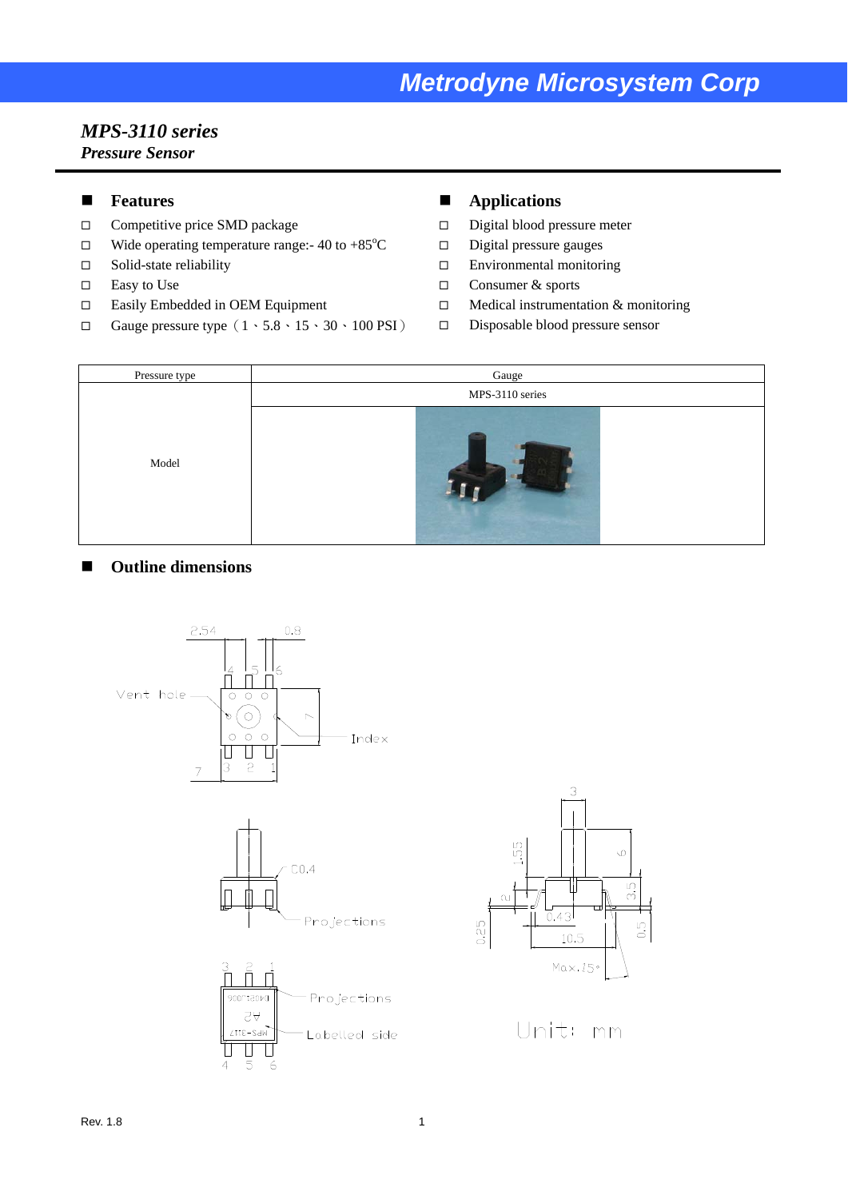## *Metrodyne Microsystem Corp*

#### *MPS-3110 series Pressure Sensor*

#### **Features**

- □ Competitive price SMD package
- $\Box$  Wide operating temperature range: -40 to +85 °C
- $\square$  Solid-state reliability
- $\square$  Easy to Use
- Easily Embedded in OEM Equipment
- Gauge pressure type  $(1 \cdot 5.8 \cdot 15 \cdot 30 \cdot 100 \text{ PSI})$

#### **Applications**

- □ Digital blood pressure meter
- $\square$  Digital pressure gauges
- Environmental monitoring
- □ Consumer & sports
- $\Box$  Medical instrumentation & monitoring
- Disposable blood pressure sensor



#### ■ Outline dimensions





Unit: mm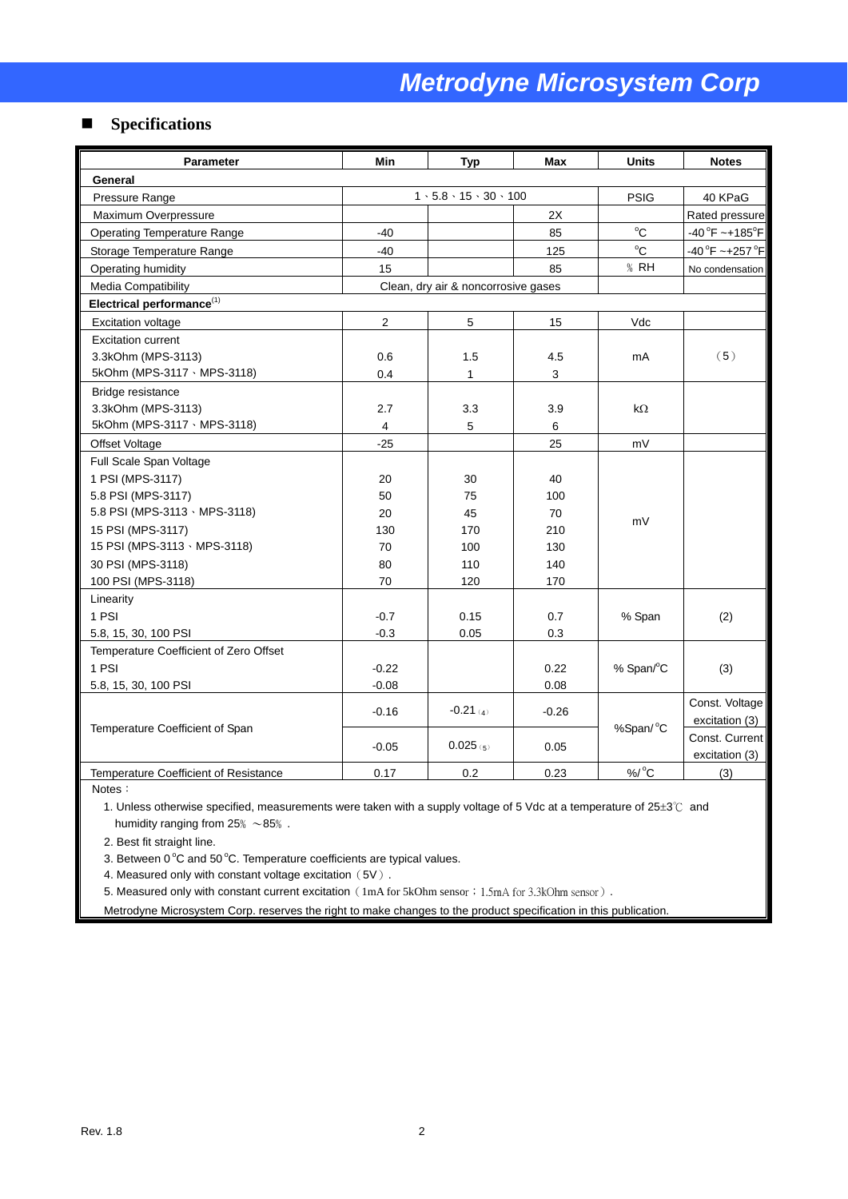#### **Specifications**

| <b>Parameter</b>                       | <b>Min</b>                          | <b>Typ</b>                                | <b>Max</b> | <b>Units</b>   | <b>Notes</b>                       |  |  |  |
|----------------------------------------|-------------------------------------|-------------------------------------------|------------|----------------|------------------------------------|--|--|--|
| General                                |                                     |                                           |            |                |                                    |  |  |  |
| Pressure Range                         |                                     | $1 \cdot 5.8 \cdot 15 \cdot 30 \cdot 100$ |            | <b>PSIG</b>    | 40 KPaG                            |  |  |  |
| Maximum Overpressure                   |                                     |                                           | 2X         |                | Rated pressure                     |  |  |  |
| <b>Operating Temperature Range</b>     | -40                                 |                                           | 85         | $^{\circ}$ C   | $-40^{\circ}$ F ~+185 $^{\circ}$ F |  |  |  |
| Storage Temperature Range              | $-40$                               |                                           | 125        | $^{\circ}$ C   | $-40^{\circ}$ F ~+257 $^{\circ}$ F |  |  |  |
| Operating humidity                     | 15                                  |                                           | 85         | $%$ RH         | No condensation                    |  |  |  |
| <b>Media Compatibility</b>             | Clean, dry air & noncorrosive gases |                                           |            |                |                                    |  |  |  |
| Electrical performance $^{(1)}$        |                                     |                                           |            |                |                                    |  |  |  |
| <b>Excitation voltage</b>              | $\overline{2}$                      | 5                                         | 15         | Vdc            |                                    |  |  |  |
| <b>Excitation current</b>              |                                     |                                           |            |                |                                    |  |  |  |
| 3.3kOhm (MPS-3113)                     | 0.6                                 | 1.5                                       | 4.5        | mA             | (5)                                |  |  |  |
| 5kOhm (MPS-3117 \ MPS-3118)            | 0.4                                 | 1                                         | 3          |                |                                    |  |  |  |
| Bridge resistance                      |                                     |                                           |            |                |                                    |  |  |  |
| 3.3kOhm (MPS-3113)                     | 2.7                                 | 3.3                                       | 3.9        | kΩ             |                                    |  |  |  |
| 5kOhm (MPS-3117 \ MPS-3118)            | $\overline{4}$                      | 5                                         | 6          |                |                                    |  |  |  |
| Offset Voltage                         | $-25$                               |                                           | 25         | mV             |                                    |  |  |  |
| Full Scale Span Voltage                |                                     |                                           |            |                |                                    |  |  |  |
| 1 PSI (MPS-3117)                       | 20                                  | 30                                        | 40         |                |                                    |  |  |  |
| 5.8 PSI (MPS-3117)                     | 50                                  | 75                                        | 100        |                |                                    |  |  |  |
| 5.8 PSI (MPS-3113 \ MPS-3118)          | 20                                  | 45                                        | 70         |                |                                    |  |  |  |
| 15 PSI (MPS-3117)                      | 130                                 | 170                                       | 210        | mV             |                                    |  |  |  |
| 15 PSI (MPS-3113 · MPS-3118)           | 70                                  | 100                                       | 130        |                |                                    |  |  |  |
| 30 PSI (MPS-3118)                      | 80                                  | 110                                       | 140        |                |                                    |  |  |  |
| 100 PSI (MPS-3118)                     | 70                                  | 120                                       | 170        |                |                                    |  |  |  |
| Linearity                              |                                     |                                           |            |                |                                    |  |  |  |
| 1 PSI                                  | $-0.7$                              | 0.15                                      | 0.7        | % Span         | (2)                                |  |  |  |
| 5.8, 15, 30, 100 PSI                   | $-0.3$                              | 0.05                                      | 0.3        |                |                                    |  |  |  |
| Temperature Coefficient of Zero Offset |                                     |                                           |            |                |                                    |  |  |  |
| 1 PSI                                  | $-0.22$                             |                                           | 0.22       | % Span/°C      | (3)                                |  |  |  |
| 5.8, 15, 30, 100 PSI                   | $-0.08$                             |                                           | 0.08       |                |                                    |  |  |  |
|                                        |                                     | $-0.21$ (4)<br>$-0.26$                    |            | Const. Voltage |                                    |  |  |  |
|                                        | $-0.16$                             |                                           |            |                | excitation (3)                     |  |  |  |
| Temperature Coefficient of Span        | $-0.05$                             | $0.025$ (5)                               | 0.05       | %Span/°C       | Const. Current                     |  |  |  |
|                                        |                                     |                                           |            |                | excitation (3)                     |  |  |  |
| Temperature Coefficient of Resistance  | 0.17                                | 0.2                                       | 0.23       | $%$ /°C        | (3)                                |  |  |  |

Notes:

1. Unless otherwise specified, measurements were taken with a supply voltage of 5 Vdc at a temperature of 25±3℃ and humidity ranging from  $25\%~\sim85\%$ .

2. Best fit straight line.

3. Between  $0^{\circ}$ C and 50 °C. Temperature coefficients are typical values.

4. Measured only with constant voltage excitation (5V).

5. Measured only with constant current excitation (1mA for 5kOhm sensor; 1.5mA for 3.3kOhm sensor).

Metrodyne Microsystem Corp. reserves the right to make changes to the product specification in this publication.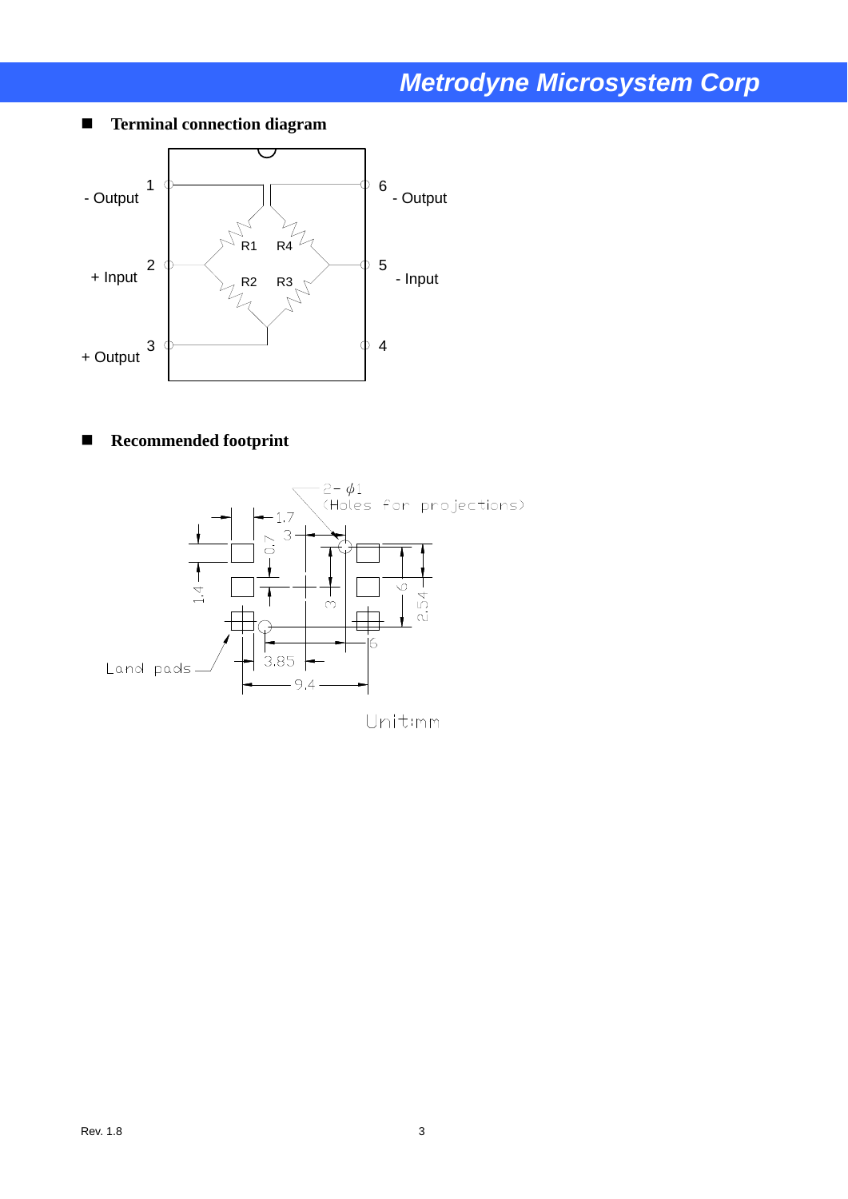# *Metrodyne Microsystem Corp*

**Terminal connection diagram**



### **Recommended footprint**